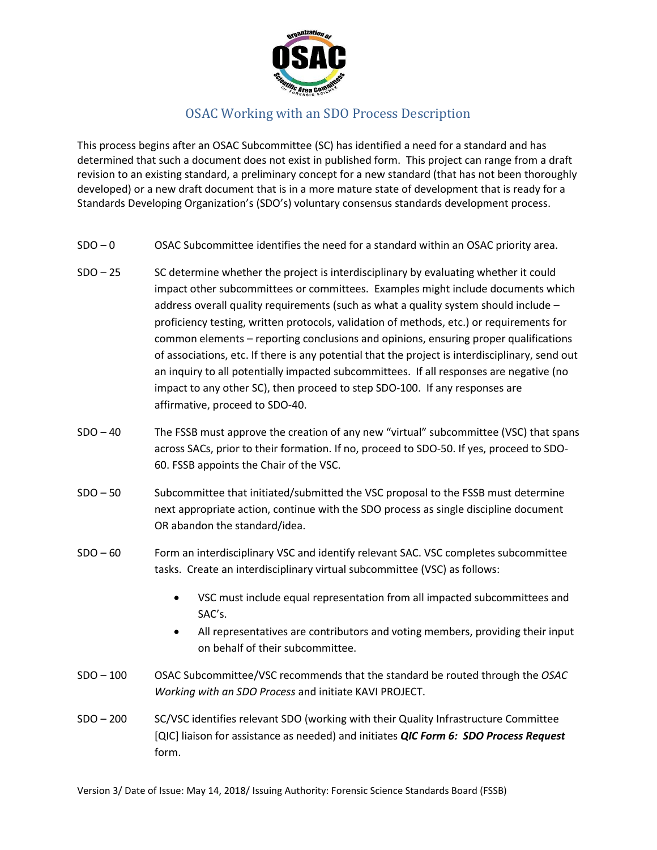

## OSAC Working with an SDO Process Description

This process begins after an OSAC Subcommittee (SC) has identified a need for a standard and has determined that such a document does not exist in published form. This project can range from a draft revision to an existing standard, a preliminary concept for a new standard (that has not been thoroughly developed) or a new draft document that is in a more mature state of development that is ready for a Standards Developing Organization's (SDO's) voluntary consensus standards development process.

- $SDO 0$  OSAC Subcommittee identifies the need for a standard within an OSAC priority area.
- $SDO 25$  SC determine whether the project is interdisciplinary by evaluating whether it could impact other subcommittees or committees. Examples might include documents which address overall quality requirements (such as what a quality system should include – proficiency testing, written protocols, validation of methods, etc.) or requirements for common elements – reporting conclusions and opinions, ensuring proper qualifications of associations, etc. If there is any potential that the project is interdisciplinary, send out an inquiry to all potentially impacted subcommittees. If all responses are negative (no impact to any other SC), then proceed to step SDO-100. If any responses are affirmative, proceed to SDO-40.
- SDO 40 The FSSB must approve the creation of any new "virtual" subcommittee (VSC) that spans across SACs, prior to their formation. If no, proceed to SDO-50. If yes, proceed to SDO-60. FSSB appoints the Chair of the VSC.
- SDO 50 Subcommittee that initiated/submitted the VSC proposal to the FSSB must determine next appropriate action, continue with the SDO process as single discipline document OR abandon the standard/idea.
- SDO 60 Form an interdisciplinary VSC and identify relevant SAC. VSC completes subcommittee tasks. Create an interdisciplinary virtual subcommittee (VSC) as follows:
	- VSC must include equal representation from all impacted subcommittees and SAC's.
	- All representatives are contributors and voting members, providing their input on behalf of their subcommittee.
- SDO 100 OSAC Subcommittee/VSC recommends that the standard be routed through the *OSAC Working with an SDO Process* and initiate KAVI PROJECT.
- SDO 200 SC/VSC identifies relevant SDO (working with their Quality Infrastructure Committee [QIC] liaison for assistance as needed) and initiates *QIC Form 6: SDO Process Request* form.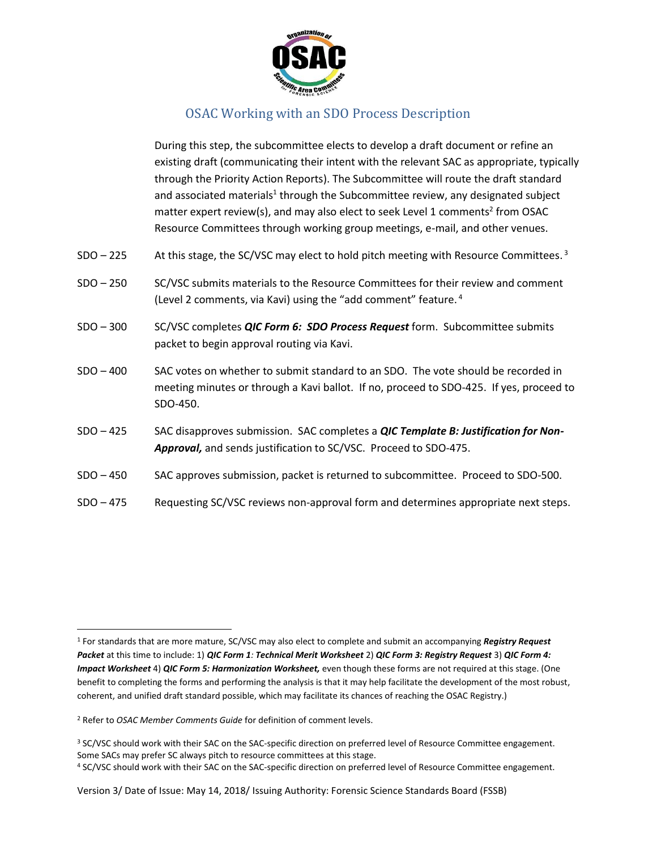

## OSAC Working with an SDO Process Description

During this step, the subcommittee elects to develop a draft document or refine an existing draft (communicating their intent with the relevant SAC as appropriate, typically through the Priority Action Reports). The Subcommittee will route the draft standard and associated materials<sup>1</sup> through the Subcommittee review, any designated subject matter expert review(s), and may also elect to seek Level 1 comments<sup>2</sup> from OSAC Resource Committees through working group meetings, e-mail, and other venues.

- SDO 225 At this stage, the SC/VSC may elect to hold pitch meeting with Resource Committees.<sup>3</sup>
- SDO 250 SC/VSC submits materials to the Resource Committees for their review and comment (Level 2 comments, via Kavi) using the "add comment" feature. <sup>4</sup>
- SDO 300 SC/VSC completes *QIC Form 6: SDO Process Request* form. Subcommittee submits packet to begin approval routing via Kavi.
- SDO 400 SAC votes on whether to submit standard to an SDO. The vote should be recorded in meeting minutes or through a Kavi ballot. If no, proceed to SDO-425. If yes, proceed to SDO-450.
- SDO 425 SAC disapproves submission. SAC completes a *QIC Template B: Justification for Non-Approval,* and sends justification to SC/VSC. Proceed to SDO-475.
- SDO 450 SAC approves submission, packet is returned to subcommittee. Proceed to SDO-500.
- SDO 475 Requesting SC/VSC reviews non-approval form and determines appropriate next steps.

 $\overline{\phantom{a}}$ 

<sup>1</sup> For standards that are more mature, SC/VSC may also elect to complete and submit an accompanying *Registry Request Packet* at this time to include: 1) *QIC Form 1: Technical Merit Worksheet* 2) *QIC Form 3: Registry Request* 3) *QIC Form 4: Impact Worksheet* 4) *QIC Form 5: Harmonization Worksheet*, even though these forms are not required at this stage. (One benefit to completing the forms and performing the analysis is that it may help facilitate the development of the most robust, coherent, and unified draft standard possible, which may facilitate its chances of reaching the OSAC Registry.)

<sup>2</sup> Refer to *OSAC Member Comments Guide* for definition of comment levels.

<sup>&</sup>lt;sup>3</sup> SC/VSC should work with their SAC on the SAC-specific direction on preferred level of Resource Committee engagement. Some SACs may prefer SC always pitch to resource committees at this stage.

<sup>4</sup> SC/VSC should work with their SAC on the SAC-specific direction on preferred level of Resource Committee engagement.

Version 3/ Date of Issue: May 14, 2018/ Issuing Authority: Forensic Science Standards Board (FSSB)